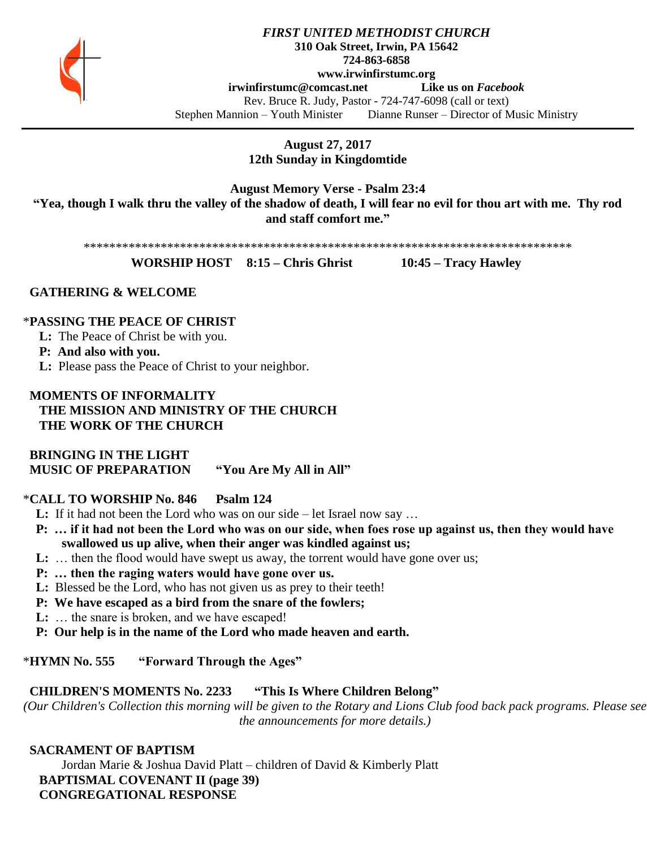

## *FIRST UNITED METHODIST CHURCH* **310 Oak Street, Irwin, PA 15642 724-863-6858 www.irwinfirstumc.org [irwinfirstumc@comcast.net](mailto:irwinfirstumc@comcast.net) Like us on** *Facebook* Rev. Bruce R. Judy, Pastor - 724-747-6098 (call or text) Stephen Mannion – Youth Minister Dianne Runser – Director of Music Ministry

**August 27, 2017 12th Sunday in Kingdomtide**

**August Memory Verse - Psalm 23:4 "Yea, though I walk thru the valley of the shadow of death, I will fear no evil for thou art with me. Thy rod and staff comfort me."**

\*\*\*\*\*\*\*\*\*\*\*\*\*\*\*\*\*\*\*\*\*\*\*\*\*\*\*\*\*\*\*\*\*\*\*\*\*\*\*\*\*\*\*\*\*\*\*\*\*\*\*\*\*\*\*\*\*\*\*\*\*\*\*\*\*\*\*\*\*\*\*\*\*\*\*\*

**WORSHIP HOST 8:15 – Chris Ghrist 10:45 – Tracy Hawley**

### **GATHERING & WELCOME**

### \***PASSING THE PEACE OF CHRIST**

**L:** The Peace of Christ be with you.

**P: And also with you.**

**L:** Please pass the Peace of Christ to your neighbor.

# **MOMENTS OF INFORMALITY THE MISSION AND MINISTRY OF THE CHURCH THE WORK OF THE CHURCH**

 **BRINGING IN THE LIGHT MUSIC OF PREPARATION "You Are My All in All"**

# \***CALL TO WORSHIP No. 846 Psalm 124**

- **L:** If it had not been the Lord who was on our side let Israel now say ...
- **P: … if it had not been the Lord who was on our side, when foes rose up against us, then they would have swallowed us up alive, when their anger was kindled against us;**
- **L:** ... then the flood would have swept us away, the torrent would have gone over us;
- **P: … then the raging waters would have gone over us.**
- **L:** Blessed be the Lord, who has not given us as prey to their teeth!
- **P: We have escaped as a bird from the snare of the fowlers;**
- **L:** … the snare is broken, and we have escaped!
- **P: Our help is in the name of the Lord who made heaven and earth.**

## \***HYMN No. 555 "Forward Through the Ages"**

## **CHILDREN'S MOMENTS No. 2233 "This Is Where Children Belong"**

*(Our Children's Collection this morning will be given to the Rotary and Lions Club food back pack programs. Please see the announcements for more details.)*

# **SACRAMENT OF BAPTISM**

Jordan Marie & Joshua David Platt – children of David & Kimberly Platt  **BAPTISMAL COVENANT II (page 39) CONGREGATIONAL RESPONSE**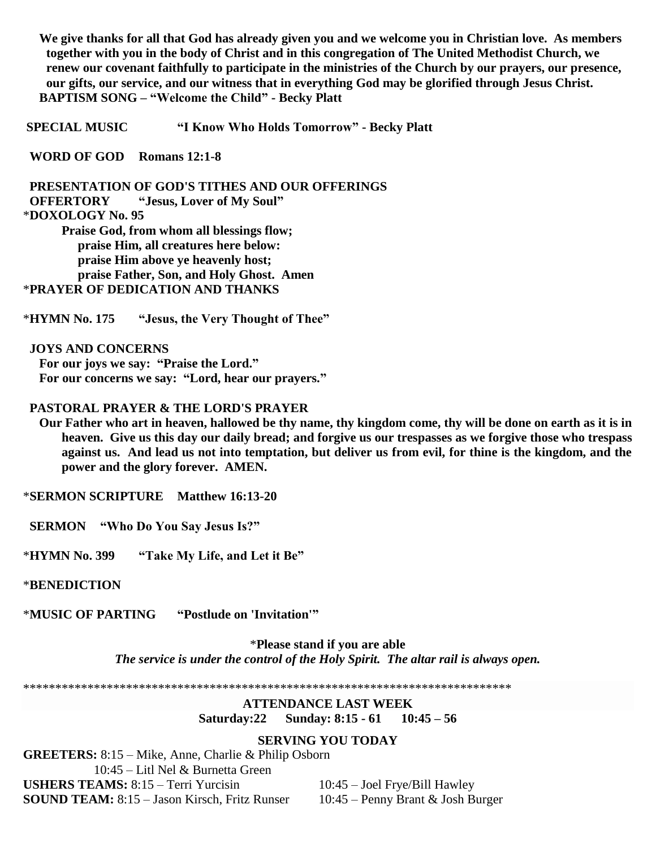**We give thanks for all that God has already given you and we welcome you in Christian love. As members together with you in the body of Christ and in this congregation of The United Methodist Church, we renew our covenant faithfully to participate in the ministries of the Church by our prayers, our presence, our gifts, our service, and our witness that in everything God may be glorified through Jesus Christ. BAPTISM SONG – "Welcome the Child" - Becky Platt**

**SPECIAL MUSIC "I Know Who Holds Tomorrow" - Becky Platt**

 **WORD OF GOD Romans 12:1-8**

 **PRESENTATION OF GOD'S TITHES AND OUR OFFERINGS OFFERTORY "Jesus, Lover of My Soul"** \***DOXOLOGY No. 95 Praise God, from whom all blessings flow; praise Him, all creatures here below: praise Him above ye heavenly host; praise Father, Son, and Holy Ghost. Amen**

\***PRAYER OF DEDICATION AND THANKS**

\***HYMN No. 175 "Jesus, the Very Thought of Thee"**

 **JOYS AND CONCERNS For our joys we say: "Praise the Lord." For our concerns we say: "Lord, hear our prayers."**

### **PASTORAL PRAYER & THE LORD'S PRAYER**

 **Our Father who art in heaven, hallowed be thy name, thy kingdom come, thy will be done on earth as it is in heaven. Give us this day our daily bread; and forgive us our trespasses as we forgive those who trespass against us. And lead us not into temptation, but deliver us from evil, for thine is the kingdom, and the power and the glory forever. AMEN.**

\***SERMON SCRIPTURE Matthew 16:13-20**

 **SERMON "Who Do You Say Jesus Is?"**

\***HYMN No. 399 "Take My Life, and Let it Be"**

\***BENEDICTION**

\***MUSIC OF PARTING "Postlude on 'Invitation'"**

\***Please stand if you are able** *The service is under the control of the Holy Spirit. The altar rail is always open.*

\*\*\*\*\*\*\*\*\*\*\*\*\*\*\*\*\*\*\*\*\*\*\*\*\*\*\*\*\*\*\*\*\*\*\*\*\*\*\*\*\*\*\*\*\*\*\*\*\*\*\*\*\*\*\*\*\*\*\*\*\*\*\*\*\*\*\*\*\*\*\*\*\*\*\*\*

### **ATTENDANCE LAST WEEK Saturday:22 Sunday: 8:15 - 61 10:45 – 56**

#### **SERVING YOU TODAY**

**GREETERS:** 8:15 – Mike, Anne, Charlie & Philip Osborn 10:45 – Litl Nel & Burnetta Green **USHERS TEAMS:** 8:15 – Terri Yurcisin 10:45 – Joel Frye/Bill Hawley **SOUND TEAM:** 8:15 – Jason Kirsch, Fritz Runser 10:45 – Penny Brant & Josh Burger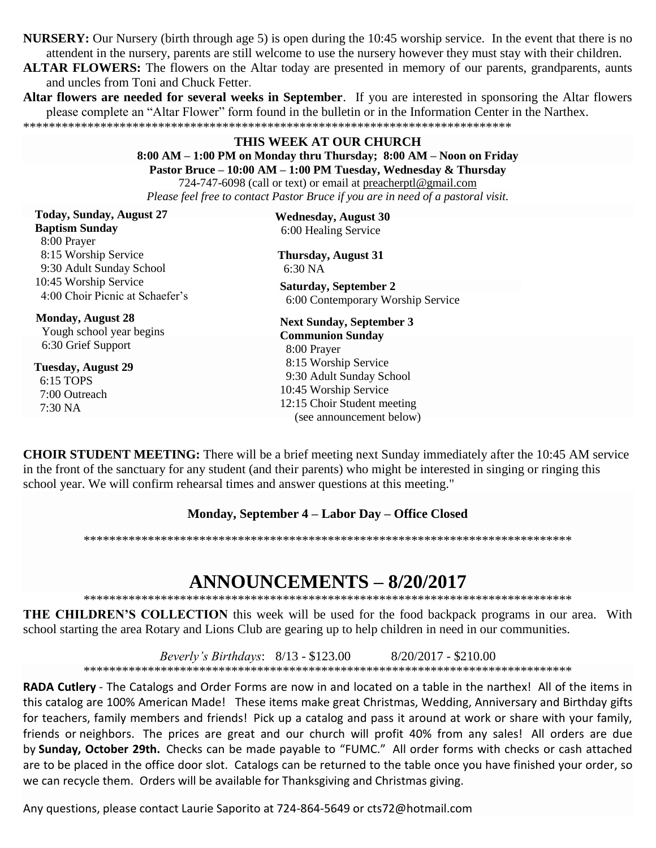**NURSERY:** Our Nursery (birth through age 5) is open during the 10:45 worship service. In the event that there is no attendent in the nursery, parents are still welcome to use the nursery however they must stay with their children.

**ALTAR FLOWERS:** The flowers on the Altar today are presented in memory of our parents, grandparents, aunts and uncles from Toni and Chuck Fetter.

Altar flowers are needed for several weeks in September. If you are interested in sponsoring the Altar flowers please complete an "Altar Flower" form found in the bulletin or in the Information Center in the Narthex. 

# THIS WEEK AT OUR CHURCH  $8:00 AM - 1:00 PM$  on Monday thru Thursday;  $8:00 AM - N$ oon on Friday Pastor Bruce - 10:00 AM - 1:00 PM Tuesday, Wednesday & Thursday

724-747-6098 (call or text) or email at preacherptl@gmail.com Please feel free to contact Pastor Bruce if you are in need of a pastoral visit.

| <b>Wednesday, August 30</b><br>6:00 Healing Service                                                          |
|--------------------------------------------------------------------------------------------------------------|
| <b>Thursday, August 31</b><br>$6:30\text{ NA}$                                                               |
| Saturday, September 2<br>6:00 Contemporary Worship Service                                                   |
| <b>Next Sunday, September 3</b><br><b>Communion Sunday</b>                                                   |
| 8:00 Prayer<br>8:15 Worship Service                                                                          |
| 9:30 Adult Sunday School<br>10:45 Worship Service<br>12:15 Choir Student meeting<br>(see announcement below) |
|                                                                                                              |

**CHOIR STUDENT MEETING:** There will be a brief meeting next Sunday immediately after the 10:45 AM service in the front of the sanctuary for any student (and their parents) who might be interested in singing or ringing this school year. We will confirm rehearsal times and answer questions at this meeting."

# Monday, September 4 – Labor Day – Office Closed

# **ANNOUNCEMENTS - 8/20/2017**

**THE CHILDREN'S COLLECTION** this week will be used for the food backpack programs in our area. With school starting the area Rotary and Lions Club are gearing up to help children in need in our communities.

Beverly's Birthdays:  $8/13 - 123.00$  $8/20/2017 - $210.00$ 

RADA Cutlery - The Catalogs and Order Forms are now in and located on a table in the narthex! All of the items in this catalog are 100% American Made! These items make great Christmas, Wedding, Anniversary and Birthday gifts for teachers, family members and friends! Pick up a catalog and pass it around at work or share with your family, friends or neighbors. The prices are great and our church will profit 40% from any sales! All orders are due by Sunday, October 29th. Checks can be made payable to "FUMC." All order forms with checks or cash attached are to be placed in the office door slot. Catalogs can be returned to the table once you have finished your order, so we can recycle them. Orders will be available for Thanksgiving and Christmas giving.

Any questions, please contact Laurie Saporito at 724-864-5649 or cts72@hotmail.com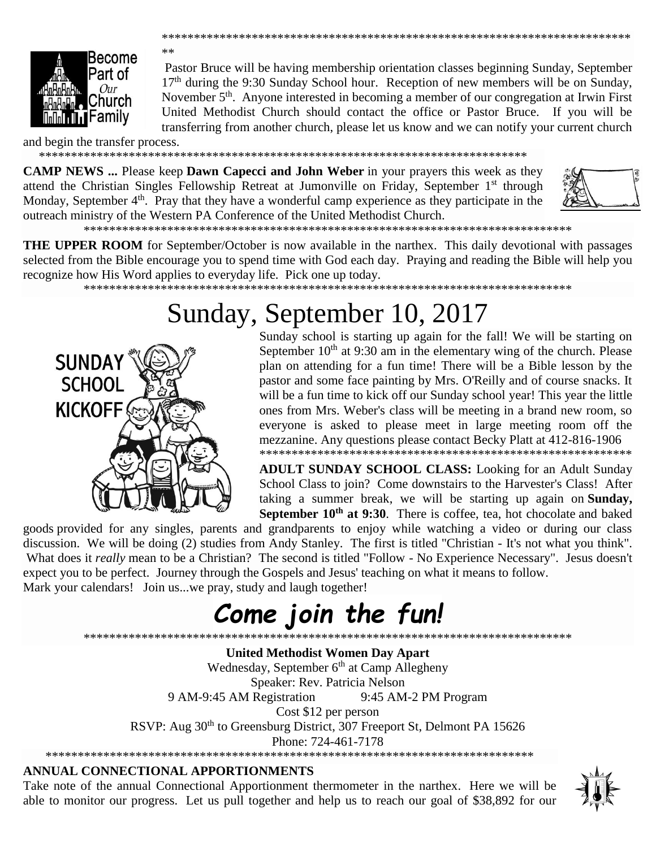

 $**$ 

Pastor Bruce will be having membership orientation classes beginning Sunday, September 17<sup>th</sup> during the 9:30 Sunday School hour. Reception of new members will be on Sunday, November 5<sup>th</sup>. Anyone interested in becoming a member of our congregation at Irwin First United Methodist Church should contact the office or Pastor Bruce. If you will be transferring from another church, please let us know and we can notify your current church

and begin the transfer process.

**CAMP NEWS** ... Please keep **Dawn Capecci and John Weber** in your prayers this week as they attend the Christian Singles Fellowship Retreat at Jumonville on Friday, September 1<sup>st</sup> through Monday, September 4<sup>th</sup>. Pray that they have a wonderful camp experience as they participate in the outreach ministry of the Western PA Conference of the United Methodist Church.



**THE UPPER ROOM** for September/October is now available in the narthex. This daily devotional with passages selected from the Bible encourage you to spend time with God each day. Praying and reading the Bible will help you recognize how His Word applies to everyday life. Pick one up today.

# Sunday, September 10, 2017



Sunday school is starting up again for the fall! We will be starting on September  $10<sup>th</sup>$  at 9:30 am in the elementary wing of the church. Please plan on attending for a fun time! There will be a Bible lesson by the pastor and some face painting by Mrs. O'Reilly and of course snacks. It will be a fun time to kick off our Sunday school year! This year the little ones from Mrs. Weber's class will be meeting in a brand new room, so everyone is asked to please meet in large meeting room off the mezzanine. Any questions please contact Becky Platt at 412-816-1906 

**ADULT SUNDAY SCHOOL CLASS:** Looking for an Adult Sunday School Class to join? Come downstairs to the Harvester's Class! After taking a summer break, we will be starting up again on Sunday, September 10<sup>th</sup> at 9:30. There is coffee, tea, hot chocolate and baked

goods provided for any singles, parents and grandparents to enjoy while watching a video or during our class discussion. We will be doing (2) studies from Andy Stanley. The first is titled "Christian - It's not what you think". What does it *really* mean to be a Christian? The second is titled "Follow - No Experience Necessary". Jesus doesn't expect you to be perfect. Journey through the Gospels and Jesus' teaching on what it means to follow. Mark your calendars! Join us...we pray, study and laugh together!

# Come join the fun!

\*\*\*\*\*\*\*\*\*\*\*\*\*\*\*\*\*\* \*\*\*\*\*\*\*\*\*\*\*\*\*\*\*\*\*\*\*\*\*\*\*\*\*\*\*\*\*

**United Methodist Women Day Apart** Wednesday, September 6<sup>th</sup> at Camp Allegheny Speaker: Rev. Patricia Nelson 9 AM-9:45 AM Registration 9:45 AM-2 PM Program Cost \$12 per person RSVP: Aug 30<sup>th</sup> to Greensburg District, 307 Freeport St, Delmont PA 15626 Phone: 724-461-7178 

# ANNUAL CONNECTIONAL APPORTIONMENTS

Take note of the annual Connectional Apportionment thermometer in the narthex. Here we will be able to monitor our progress. Let us pull together and help us to reach our goal of \$38,892 for our